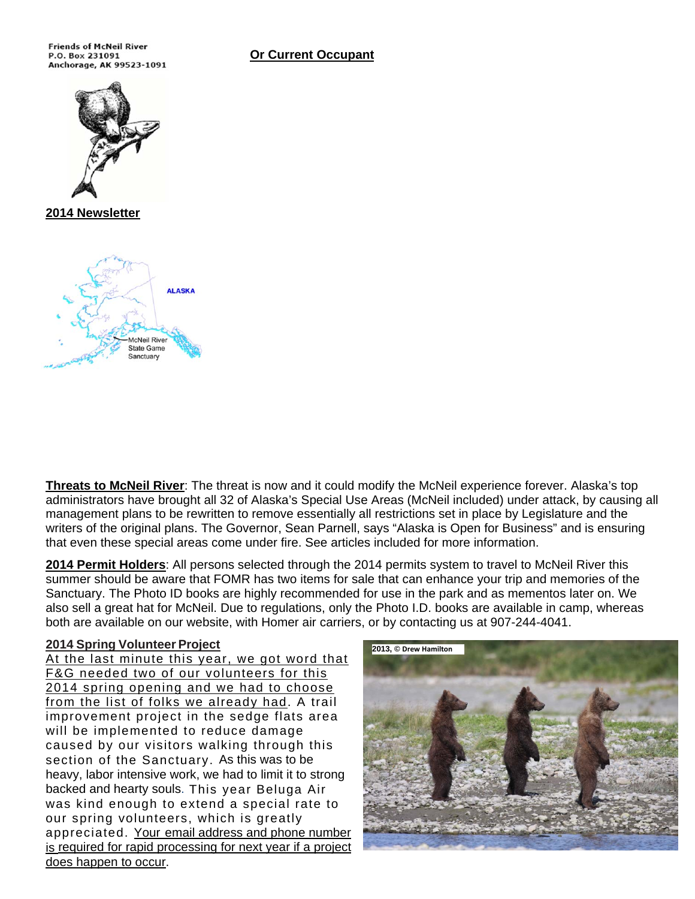**Or Current Occupant** 

**Friends of McNeil River** P.O. Box 231091 Anchorage, AK 99523-1091



**2014 Newsletter** 



**Threats to McNeil River**: The threat is now and it could modify the McNeil experience forever. Alaska's top administrators have brought all 32 of Alaska's Special Use Areas (McNeil included) under attack, by causing all management plans to be rewritten to remove essentially all restrictions set in place by Legislature and the writers of the original plans. The Governor, Sean Parnell, says "Alaska is Open for Business" and is ensuring that even these special areas come under fire. See articles included for more information.

**2014 Permit Holders**: All persons selected through the 2014 permits system to travel to McNeil River this summer should be aware that FOMR has two items for sale that can enhance your trip and memories of the Sanctuary. The Photo ID books are highly recommended for use in the park and as mementos later on. We also sell a great hat for McNeil. Due to regulations, only the Photo I.D. books are available in camp, whereas both are available on our website, with Homer air carriers, or by contacting us at 907-244-4041.

#### **2014 Spring Volunteer Project**

At the last minute this year, we got word that F&G needed two of our volunteers for this 2014 spring opening and we had to choose from the list of folks we already had. A trail improvement project in the sedge flats area will be implemented to reduce damage caused by our visitors walking through this section of the Sanctuary. As this was to be heavy, labor intensive work, we had to limit it to strong backed and hearty souls. This year Beluga Air was kind enough to extend a special rate to our spring volunteers, which is greatly appreciated. Your email address and phone number is required for rapid processing for next year if a project does happen to occur.

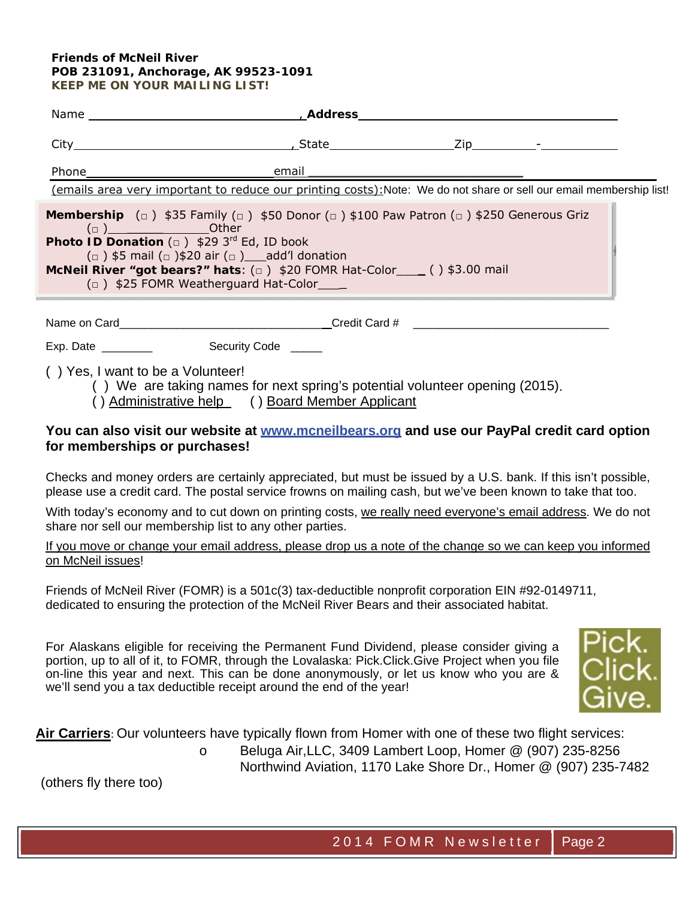#### **Friends of McNeil River POB 231091, Anchorage, AK 99523-1091 KEEP ME ON YOUR MAILING LIST!**

|                                                                                                    | Phone email<br>(emails area very important to reduce our printing costs): Note: We do not share or sell our email membership list!                                                                                                                                                                                                       |  |  |
|----------------------------------------------------------------------------------------------------|------------------------------------------------------------------------------------------------------------------------------------------------------------------------------------------------------------------------------------------------------------------------------------------------------------------------------------------|--|--|
| $\left(\Box\right)$ Other<br><b>Photo ID Donation</b> $(\square)$ \$29 3 <sup>rd</sup> Ed, ID book | <b>Membership</b> $\Box$ \$35 Family $\Box$ \$50 Donor $\Box$ \$100 Paw Patron $\Box$ \$250 Generous Griz<br>$\left(\Box\right)$ \$5 mail $\left(\Box\right)$ \$20 air $\left(\Box\right)$ add'l donation<br>McNeil River "got bears?" hats: $(a)$ \$20 FOMR Hat-Color___ () \$3.00 mail<br>$(\Box)$ \$25 FOMR Weatherguard Hat-Color___ |  |  |
|                                                                                                    |                                                                                                                                                                                                                                                                                                                                          |  |  |
|                                                                                                    |                                                                                                                                                                                                                                                                                                                                          |  |  |
| () Yes, I want to be a Volunteer!                                                                  |                                                                                                                                                                                                                                                                                                                                          |  |  |

( ) We are taking names for next spring's potential volunteer opening (2015).

( ) Administrative help ( ) Board Member Applicant

### **You can also visit our website at www.mcneilbears.org and use our PayPal credit card option for memberships or purchases!**

Checks and money orders are certainly appreciated, but must be issued by a U.S. bank. If this isn't possible, please use a credit card. The postal service frowns on mailing cash, but we've been known to take that too.

With today's economy and to cut down on printing costs, we really need everyone's email address. We do not share nor sell our membership list to any other parties.

If you move or change your email address, please drop us a note of the change so we can keep you informed on McNeil issues!

Friends of McNeil River (FOMR) is a 501c(3) tax-deductible nonprofit corporation EIN #92-0149711, dedicated to ensuring the protection of the McNeil River Bears and their associated habitat.

For Alaskans eligible for receiving the Permanent Fund Dividend, please consider giving a portion, up to all of it, to FOMR, through the Lovalaska: Pick.Click.Give Project when you file on-line this year and next. This can be done anonymously, or let us know who you are & we'll send you a tax deductible receipt around the end of the year!



**Air Carriers**: Our volunteers have typically flown from Homer with one of these two flight services:

o Beluga Air,LLC, 3409 Lambert Loop, Homer @ (907) 235-8256 Northwind Aviation, 1170 Lake Shore Dr., Homer @ (907) 235-7482

(others fly there too)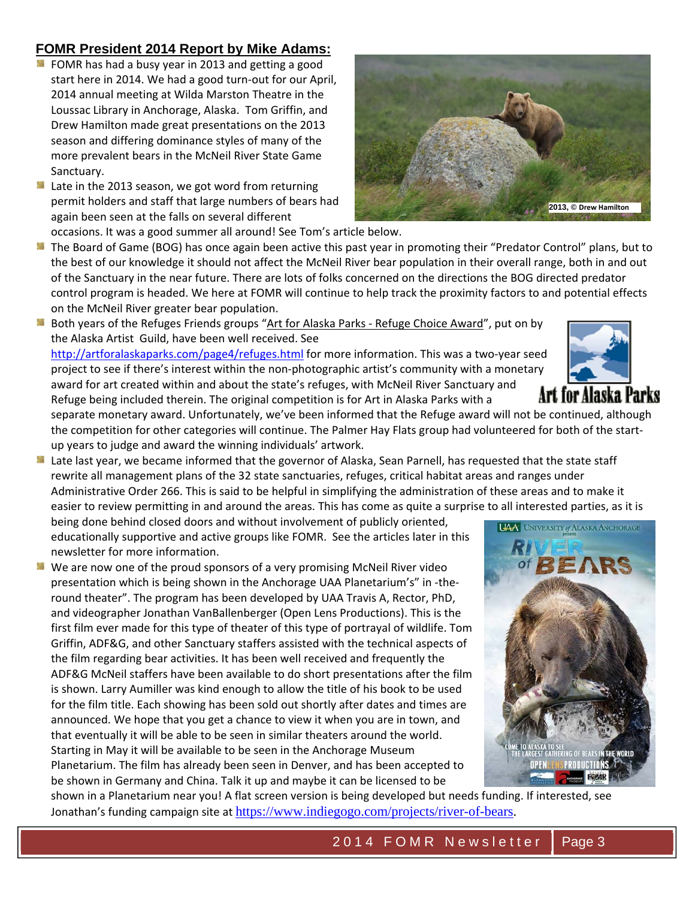### **FOMR President 2014 Report by Mike Adams:**

- **EX** FOMR has had a busy year in 2013 and getting a good start here in 2014. We had a good turn‐out for our April, 2014 annual meeting at Wilda Marston Theatre in the Loussac Library in Anchorage, Alaska. Tom Griffin, and Drew Hamilton made great presentations on the 2013 season and differing dominance styles of many of the more prevalent bears in the McNeil River State Game Sanctuary.
- **E** Late in the 2013 season, we got word from returning permit holders and staff that large numbers of bears had again been seen at the falls on several different occasions. It was a good summer all around! See Tom's article below.



箋 Both years of the Refuges Friends groups "Art for Alaska Parks - Refuge Choice Award", put on by the Alaska Artist Guild, have been well received. See

http://artforalaskaparks.com/page4/refuges.html for more information. This was a two-year seed project to see if there's interest within the non-photographic artist's community with a monetary award for art created within and about the state's refuges, with McNeil River Sanctuary and Refuge being included therein. The original competition is for Art in Alaska Parks with a

separate monetary award. Unfortunately, we've been informed that the Refuge award will not be continued, although the competition for other categories will continue. The Palmer Hay Flats group had volunteered for both of the start‐ up years to judge and award the winning individuals' artwork.

Late last year, we became informed that the governor of Alaska, Sean Parnell, has requested that the state staff rewrite all management plans of the 32 state sanctuaries, refuges, critical habitat areas and ranges under Administrative Order 266. This is said to be helpful in simplifying the administration of these areas and to make it easier to review permitting in and around the areas. This has come as quite a surprise to all interested parties, as it is

being done behind closed doors and without involvement of publicly oriented, educationally supportive and active groups like FOMR. See the articles later in this newsletter for more information.

**M** We are now one of the proud sponsors of a very promising McNeil River video presentation which is being shown in the Anchorage UAA Planetarium's" in ‐the‐ round theater". The program has been developed by UAA Travis A, Rector, PhD, and videographer Jonathan VanBallenberger (Open Lens Productions). This is the first film ever made for this type of theater of this type of portrayal of wildlife. Tom Griffin, ADF&G, and other Sanctuary staffers assisted with the technical aspects of the film regarding bear activities. It has been well received and frequently the ADF&G McNeil staffers have been available to do short presentations after the film is shown. Larry Aumiller was kind enough to allow the title of his book to be used for the film title. Each showing has been sold out shortly after dates and times are announced. We hope that you get a chance to view it when you are in town, and that eventually it will be able to be seen in similar theaters around the world. Starting in May it will be available to be seen in the Anchorage Museum Planetarium. The film has already been seen in Denver, and has been accepted to be shown in Germany and China. Talk it up and maybe it can be licensed to be







shown in a Planetarium near you! A flat screen version is being developed but needs funding. If interested, see Jonathan's funding campaign site at https://www.indiegogo.com/projects/river-of-bears.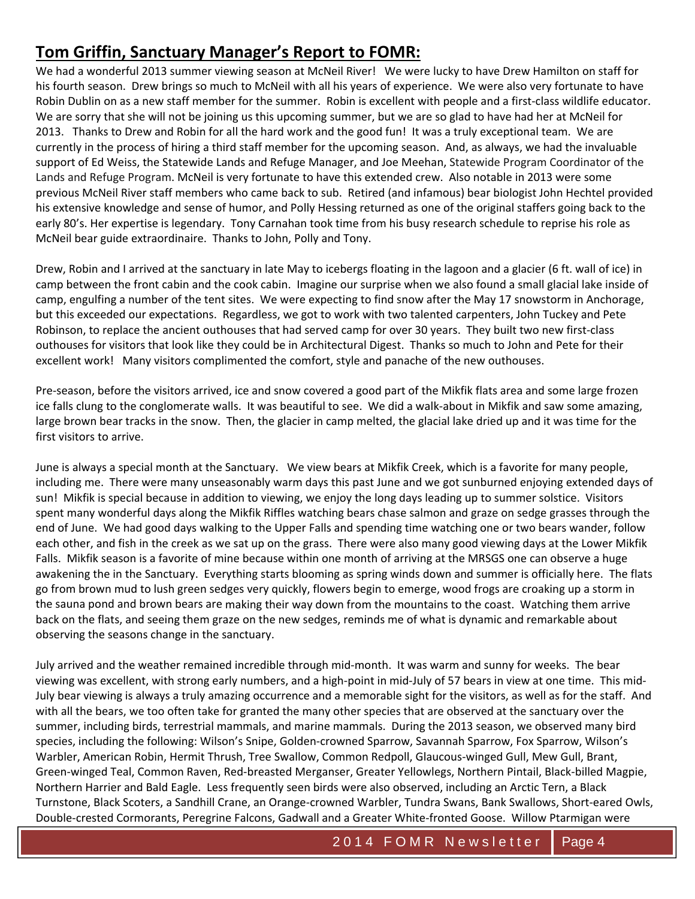# **Tom Griffin, Sanctuary Manager's Report to FOMR:**

We had a wonderful 2013 summer viewing season at McNeil River! We were lucky to have Drew Hamilton on staff for his fourth season. Drew brings so much to McNeil with all his years of experience. We were also very fortunate to have Robin Dublin on as a new staff member for the summer. Robin is excellent with people and a first‐class wildlife educator. We are sorry that she will not be joining us this upcoming summer, but we are so glad to have had her at McNeil for 2013. Thanks to Drew and Robin for all the hard work and the good fun! It was a truly exceptional team. We are currently in the process of hiring a third staff member for the upcoming season. And, as always, we had the invaluable support of Ed Weiss, the Statewide Lands and Refuge Manager, and Joe Meehan, Statewide Program Coordinator of the Lands and Refuge Program. McNeil is very fortunate to have this extended crew. Also notable in 2013 were some previous McNeil River staff members who came back to sub. Retired (and infamous) bear biologist John Hechtel provided his extensive knowledge and sense of humor, and Polly Hessing returned as one of the original staffers going back to the early 80's. Her expertise is legendary. Tony Carnahan took time from his busy research schedule to reprise his role as McNeil bear guide extraordinaire. Thanks to John, Polly and Tony.

Drew, Robin and I arrived at the sanctuary in late May to icebergs floating in the lagoon and a glacier (6 ft. wall of ice) in camp between the front cabin and the cook cabin. Imagine our surprise when we also found a small glacial lake inside of camp, engulfing a number of the tent sites. We were expecting to find snow after the May 17 snowstorm in Anchorage, but this exceeded our expectations. Regardless, we got to work with two talented carpenters, John Tuckey and Pete Robinson, to replace the ancient outhouses that had served camp for over 30 years. They built two new first‐class outhouses for visitors that look like they could be in Architectural Digest. Thanks so much to John and Pete for their excellent work! Many visitors complimented the comfort, style and panache of the new outhouses.

Pre‐season, before the visitors arrived, ice and snow covered a good part of the Mikfik flats area and some large frozen ice falls clung to the conglomerate walls. It was beautiful to see. We did a walk‐about in Mikfik and saw some amazing, large brown bear tracks in the snow. Then, the glacier in camp melted, the glacial lake dried up and it was time for the first visitors to arrive.

June is always a special month at the Sanctuary. We view bears at Mikfik Creek, which is a favorite for many people, including me. There were many unseasonably warm days this past June and we got sunburned enjoying extended days of sun! Mikfik is special because in addition to viewing, we enjoy the long days leading up to summer solstice. Visitors spent many wonderful days along the Mikfik Riffles watching bears chase salmon and graze on sedge grasses through the end of June. We had good days walking to the Upper Falls and spending time watching one or two bears wander, follow each other, and fish in the creek as we sat up on the grass. There were also many good viewing days at the Lower Mikfik Falls. Mikfik season is a favorite of mine because within one month of arriving at the MRSGS one can observe a huge awakening the in the Sanctuary. Everything starts blooming as spring winds down and summer is officially here. The flats go from brown mud to lush green sedges very quickly, flowers begin to emerge, wood frogs are croaking up a storm in the sauna pond and brown bears are making their way down from the mountains to the coast. Watching them arrive back on the flats, and seeing them graze on the new sedges, reminds me of what is dynamic and remarkable about observing the seasons change in the sanctuary.

July arrived and the weather remained incredible through mid‐month. It was warm and sunny for weeks. The bear viewing was excellent, with strong early numbers, and a high‐point in mid‐July of 57 bears in view at one time. This mid‐ July bear viewing is always a truly amazing occurrence and a memorable sight for the visitors, as well as for the staff. And with all the bears, we too often take for granted the many other species that are observed at the sanctuary over the summer, including birds, terrestrial mammals, and marine mammals. During the 2013 season, we observed many bird species, including the following: Wilson's Snipe, Golden-crowned Sparrow, Savannah Sparrow, Fox Sparrow, Wilson's Warbler, American Robin, Hermit Thrush, Tree Swallow, Common Redpoll, Glaucous‐winged Gull, Mew Gull, Brant, Green‐winged Teal, Common Raven, Red‐breasted Merganser, Greater Yellowlegs, Northern Pintail, Black‐billed Magpie, Northern Harrier and Bald Eagle. Less frequently seen birds were also observed, including an Arctic Tern, a Black Turnstone, Black Scoters, a Sandhill Crane, an Orange‐crowned Warbler, Tundra Swans, Bank Swallows, Short‐eared Owls, Double‐crested Cormorants, Peregrine Falcons, Gadwall and a Greater White‐fronted Goose. Willow Ptarmigan were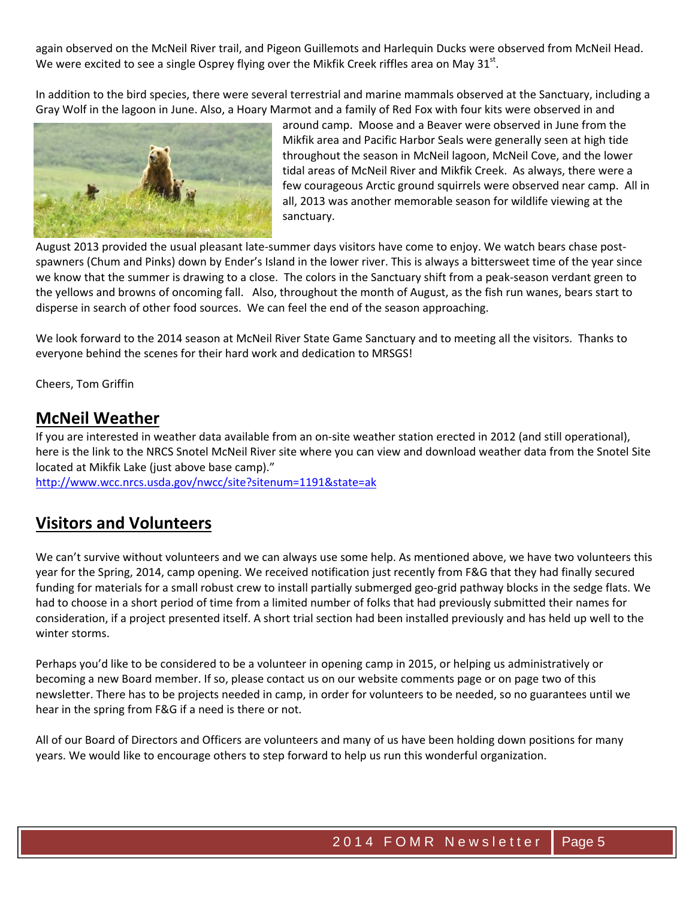again observed on the McNeil River trail, and Pigeon Guillemots and Harlequin Ducks were observed from McNeil Head. We were excited to see a single Osprey flying over the Mikfik Creek riffles area on May  $31<sup>st</sup>$ .

In addition to the bird species, there were several terrestrial and marine mammals observed at the Sanctuary, including a Gray Wolf in the lagoon in June. Also, a Hoary Marmot and a family of Red Fox with four kits were observed in and



around camp. Moose and a Beaver were observed in June from the Mikfik area and Pacific Harbor Seals were generally seen at high tide throughout the season in McNeil lagoon, McNeil Cove, and the lower tidal areas of McNeil River and Mikfik Creek. As always, there were a few courageous Arctic ground squirrels were observed near camp. All in all, 2013 was another memorable season for wildlife viewing at the sanctuary.

August 2013 provided the usual pleasant late‐summer days visitors have come to enjoy. We watch bears chase post‐ spawners (Chum and Pinks) down by Ender's Island in the lower river. This is always a bittersweet time of the year since we know that the summer is drawing to a close. The colors in the Sanctuary shift from a peak‐season verdant green to the yellows and browns of oncoming fall. Also, throughout the month of August, as the fish run wanes, bears start to disperse in search of other food sources. We can feel the end of the season approaching.

We look forward to the 2014 season at McNeil River State Game Sanctuary and to meeting all the visitors. Thanks to everyone behind the scenes for their hard work and dedication to MRSGS!

Cheers, Tom Griffin

## **McNeil Weather**

If you are interested in weather data available from an on-site weather station erected in 2012 (and still operational), here is the link to the NRCS Snotel McNeil River site where you can view and download weather data from the Snotel Site located at Mikfik Lake (just above base camp)."

http://www.wcc.nrcs.usda.gov/nwcc/site?sitenum=1191&state=ak

# **Visitors and Volunteers**

We can't survive without volunteers and we can always use some help. As mentioned above, we have two volunteers this year for the Spring, 2014, camp opening. We received notification just recently from F&G that they had finally secured funding for materials for a small robust crew to install partially submerged geo-grid pathway blocks in the sedge flats. We had to choose in a short period of time from a limited number of folks that had previously submitted their names for consideration, if a project presented itself. A short trial section had been installed previously and has held up well to the winter storms.

Perhaps you'd like to be considered to be a volunteer in opening camp in 2015, or helping us administratively or becoming a new Board member. If so, please contact us on our website comments page or on page two of this newsletter. There has to be projects needed in camp, in order for volunteers to be needed, so no guarantees until we hear in the spring from F&G if a need is there or not.

All of our Board of Directors and Officers are volunteers and many of us have been holding down positions for many years. We would like to encourage others to step forward to help us run this wonderful organization.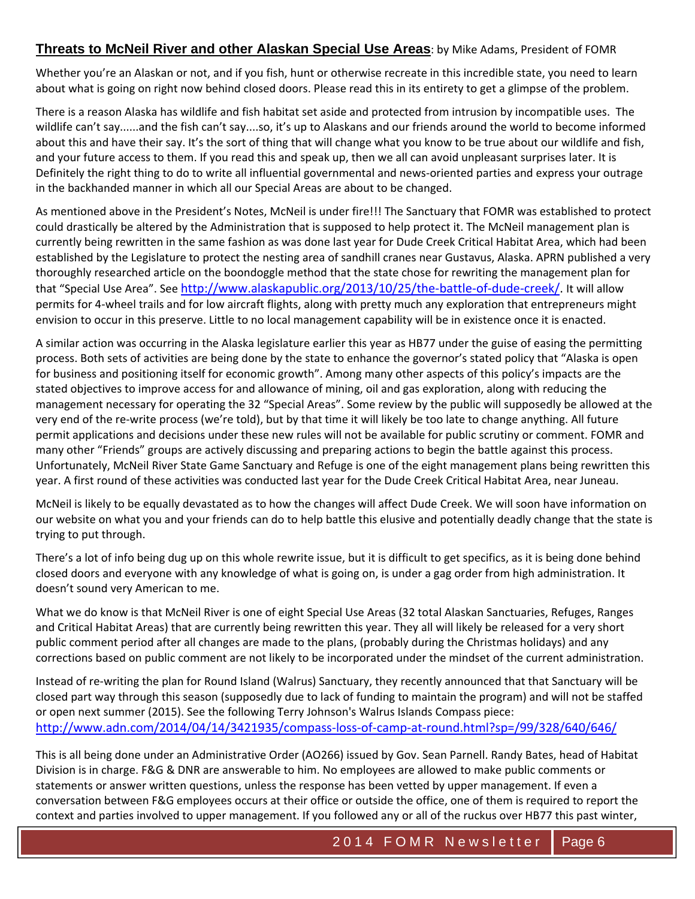### **Threats to McNeil River and other Alaskan Special Use Areas**: by Mike Adams, President of FOMR

Whether you're an Alaskan or not, and if you fish, hunt or otherwise recreate in this incredible state, you need to learn about what is going on right now behind closed doors. Please read this in its entirety to get a glimpse of the problem.

There is a reason Alaska has wildlife and fish habitat set aside and protected from intrusion by incompatible uses. The wildlife can't say......and the fish can't say....so, it's up to Alaskans and our friends around the world to become informed about this and have their say. It's the sort of thing that will change what you know to be true about our wildlife and fish, and your future access to them. If you read this and speak up, then we all can avoid unpleasant surprises later. It is Definitely the right thing to do to write all influential governmental and news‐oriented parties and express your outrage in the backhanded manner in which all our Special Areas are about to be changed.

As mentioned above in the President's Notes, McNeil is under fire!!! The Sanctuary that FOMR was established to protect could drastically be altered by the Administration that is supposed to help protect it. The McNeil management plan is currently being rewritten in the same fashion as was done last year for Dude Creek Critical Habitat Area, which had been established by the Legislature to protect the nesting area of sandhill cranes near Gustavus, Alaska. APRN published a very thoroughly researched article on the boondoggle method that the state chose for rewriting the management plan for that "Special Use Area". See http://www.alaskapublic.org/2013/10/25/the‐battle‐of‐dude‐creek/. It will allow permits for 4‐wheel trails and for low aircraft flights, along with pretty much any exploration that entrepreneurs might envision to occur in this preserve. Little to no local management capability will be in existence once it is enacted.

A similar action was occurring in the Alaska legislature earlier this year as HB77 under the guise of easing the permitting process. Both sets of activities are being done by the state to enhance the governor's stated policy that "Alaska is open for business and positioning itself for economic growth". Among many other aspects of this policy's impacts are the stated objectives to improve access for and allowance of mining, oil and gas exploration, along with reducing the management necessary for operating the 32 "Special Areas". Some review by the public will supposedly be allowed at the very end of the re‐write process (we're told), but by that time it will likely be too late to change anything. All future permit applications and decisions under these new rules will not be available for public scrutiny or comment. FOMR and many other "Friends" groups are actively discussing and preparing actions to begin the battle against this process. Unfortunately, McNeil River State Game Sanctuary and Refuge is one of the eight management plans being rewritten this year. A first round of these activities was conducted last year for the Dude Creek Critical Habitat Area, near Juneau.

McNeil is likely to be equally devastated as to how the changes will affect Dude Creek. We will soon have information on our website on what you and your friends can do to help battle this elusive and potentially deadly change that the state is trying to put through.

There's a lot of info being dug up on this whole rewrite issue, but it is difficult to get specifics, as it is being done behind closed doors and everyone with any knowledge of what is going on, is under a gag order from high administration. It doesn't sound very American to me.

What we do know is that McNeil River is one of eight Special Use Areas (32 total Alaskan Sanctuaries, Refuges, Ranges and Critical Habitat Areas) that are currently being rewritten this year. They all will likely be released for a very short public comment period after all changes are made to the plans, (probably during the Christmas holidays) and any corrections based on public comment are not likely to be incorporated under the mindset of the current administration.

Instead of re‐writing the plan for Round Island (Walrus) Sanctuary, they recently announced that that Sanctuary will be closed part way through this season (supposedly due to lack of funding to maintain the program) and will not be staffed or open next summer (2015). See the following Terry Johnson's Walrus Islands Compass piece: http://www.adn.com/2014/04/14/3421935/compass‐loss‐of‐camp‐at‐round.html?sp=/99/328/640/646/

This is all being done under an Administrative Order (AO266) issued by Gov. Sean Parnell. Randy Bates, head of Habitat Division is in charge. F&G & DNR are answerable to him. No employees are allowed to make public comments or statements or answer written questions, unless the response has been vetted by upper management. If even a conversation between F&G employees occurs at their office or outside the office, one of them is required to report the context and parties involved to upper management. If you followed any or all of the ruckus over HB77 this past winter,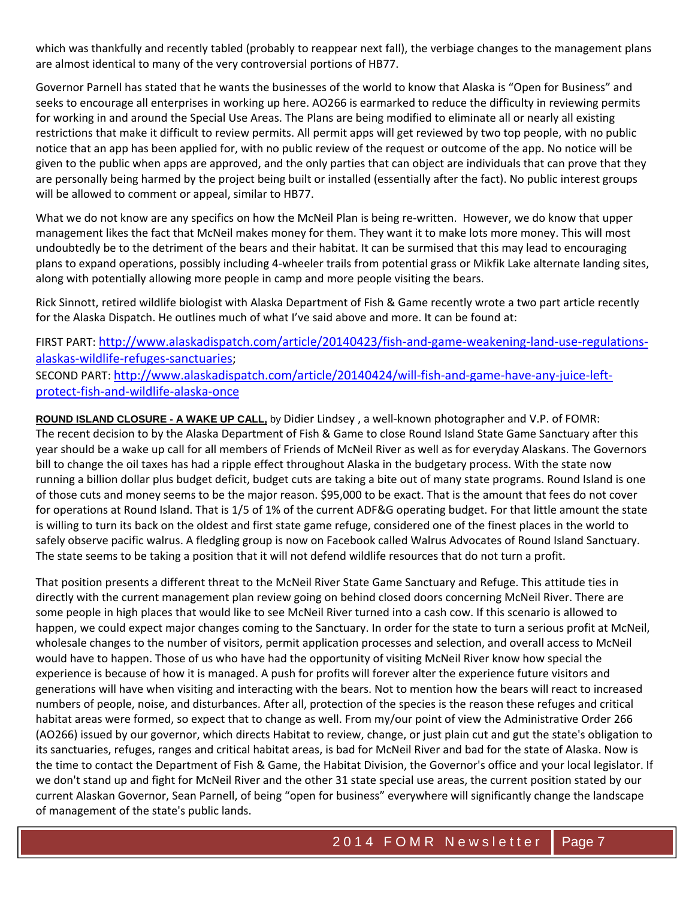which was thankfully and recently tabled (probably to reappear next fall), the verbiage changes to the management plans are almost identical to many of the very controversial portions of HB77.

Governor Parnell has stated that he wants the businesses of the world to know that Alaska is "Open for Business" and seeks to encourage all enterprises in working up here. AO266 is earmarked to reduce the difficulty in reviewing permits for working in and around the Special Use Areas. The Plans are being modified to eliminate all or nearly all existing restrictions that make it difficult to review permits. All permit apps will get reviewed by two top people, with no public notice that an app has been applied for, with no public review of the request or outcome of the app. No notice will be given to the public when apps are approved, and the only parties that can object are individuals that can prove that they are personally being harmed by the project being built or installed (essentially after the fact). No public interest groups will be allowed to comment or appeal, similar to HB77.

What we do not know are any specifics on how the McNeil Plan is being re-written. However, we do know that upper management likes the fact that McNeil makes money for them. They want it to make lots more money. This will most undoubtedly be to the detriment of the bears and their habitat. It can be surmised that this may lead to encouraging plans to expand operations, possibly including 4‐wheeler trails from potential grass or Mikfik Lake alternate landing sites, along with potentially allowing more people in camp and more people visiting the bears.

Rick Sinnott, retired wildlife biologist with Alaska Department of Fish & Game recently wrote a two part article recently for the Alaska Dispatch. He outlines much of what I've said above and more. It can be found at:

#### FIRST PART: http://www.alaskadispatch.com/article/20140423/fish-and-game-weakening-land-use-regulationsalaskas‐wildlife‐refuges‐sanctuaries; SECOND PART: http://www.alaskadispatch.com/article/20140424/will‐fish‐and‐game‐have‐any‐juice‐left‐ protect‐fish‐and‐wildlife‐alaska‐once

**ROUND ISLAND CLOSURE - A WAKE UP CALL,** by Didier Lindsey , a well‐known photographer and V.P. of FOMR: The recent decision to by the Alaska Department of Fish & Game to close Round Island State Game Sanctuary after this year should be a wake up call for all members of Friends of McNeil River as well as for everyday Alaskans. The Governors bill to change the oil taxes has had a ripple effect throughout Alaska in the budgetary process. With the state now running a billion dollar plus budget deficit, budget cuts are taking a bite out of many state programs. Round Island is one of those cuts and money seems to be the major reason. \$95,000 to be exact. That is the amount that fees do not cover for operations at Round Island. That is 1/5 of 1% of the current ADF&G operating budget. For that little amount the state is willing to turn its back on the oldest and first state game refuge, considered one of the finest places in the world to safely observe pacific walrus. A fledgling group is now on Facebook called Walrus Advocates of Round Island Sanctuary. The state seems to be taking a position that it will not defend wildlife resources that do not turn a profit.

That position presents a different threat to the McNeil River State Game Sanctuary and Refuge. This attitude ties in directly with the current management plan review going on behind closed doors concerning McNeil River. There are some people in high places that would like to see McNeil River turned into a cash cow. If this scenario is allowed to happen, we could expect major changes coming to the Sanctuary. In order for the state to turn a serious profit at McNeil, wholesale changes to the number of visitors, permit application processes and selection, and overall access to McNeil would have to happen. Those of us who have had the opportunity of visiting McNeil River know how special the experience is because of how it is managed. A push for profits will forever alter the experience future visitors and generations will have when visiting and interacting with the bears. Not to mention how the bears will react to increased numbers of people, noise, and disturbances. After all, protection of the species is the reason these refuges and critical habitat areas were formed, so expect that to change as well. From my/our point of view the Administrative Order 266 (AO266) issued by our governor, which directs Habitat to review, change, or just plain cut and gut the state's obligation to its sanctuaries, refuges, ranges and critical habitat areas, is bad for McNeil River and bad for the state of Alaska. Now is the time to contact the Department of Fish & Game, the Habitat Division, the Governor's office and your local legislator. If we don't stand up and fight for McNeil River and the other 31 state special use areas, the current position stated by our current Alaskan Governor, Sean Parnell, of being "open for business" everywhere will significantly change the landscape of management of the state's public lands.